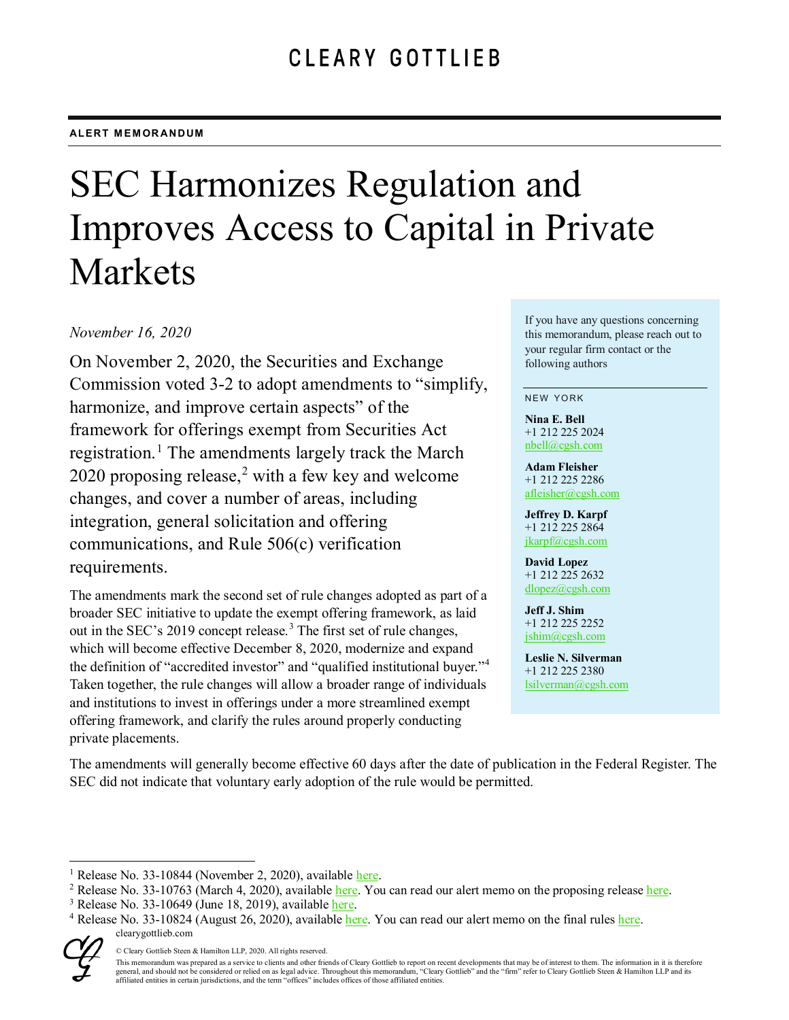# SEC Harmonizes Regulation and Improves Access to Capital in Private Markets

## *November 16, 2020*

On November 2, 2020, the Securities and Exchange Commission voted 3-2 to adopt amendments to "simplify, harmonize, and improve certain aspects" of the framework for offerings exempt from Securities Act registration.<sup>[1](#page-0-0)</sup> The amendments largely track the March [2](#page-0-1)020 proposing release, $2$  with a few key and welcome changes, and cover a number of areas, including integration, general solicitation and offering communications, and Rule 506(c) verification requirements.

The amendments mark the second set of rule changes adopted as part of a broader SEC initiative to update the exempt offering framework, as laid out in the SEC's 2019 concept release.<sup>[3](#page-0-2)</sup> The first set of rule changes, which will become effective December 8, 2020, modernize and expand the definition of "accredited investor" and "qualified institutional buyer."[4](#page-0-3) Taken together, the rule changes will allow a broader range of individuals and institutions to invest in offerings under a more streamlined exempt offering framework, and clarify the rules around properly conducting private placements.

If you have any questions concerning this memorandum, please reach out to your regular firm contact or the following authors

#### NEW YORK

**Nina E. Bell** +1 212 225 2024 [nbell@cgsh.com](mailto:nbell@cgsh.com)

**Adam Fleisher** +1 212 225 2286 afleisher@cgsh.com

**Jeffrey D. Karpf** +1 212 225 2864 [jkarpf@cgsh.com](mailto:jkarpf@cgsh.com)

**David Lopez** +1 212 225 2632 [dlopez@cgsh.com](mailto:dlopez@cgsh.com)

**Jeff J. Shim** +1 212 225 2252 jshim@cgsh.com

**Leslie N. Silverman** +1 212 225 2380 lsilverman@cgsh.com

The amendments will generally become effective 60 days after the date of publication in the Federal Register. The SEC did not indicate that voluntary early adoption of the rule would be permitted.

<span id="page-0-3"></span><span id="page-0-2"></span><span id="page-0-1"></span>clearygottlieb.com <sup>3</sup> Release No. 33-10649 (June 18, 2019), available *here*.<br><sup>4</sup> Release No. 33-10824 (August 26, 2020), available *here*. You can read our alert memo on the final rules *here*.



<sup>©</sup> Cleary Gottlieb Steen & Hamilton LLP, 2020. All rights reserved.

This memorandum was prepared as a service to clients and other friends of Cleary Gottlieb to report on recent developments that may be of interest to them. The information in it is therefore general, and should not be considered or relied on as legal advice. Throughout this memorandum, "Cleary Gottlieb" and the "firm" refer to Cleary Gottlieb Steen & Hamilton LLP and its affiliated entities in certain jurisdictions, and the term "offices" includes offices of those affiliated entities.

<span id="page-0-0"></span><sup>&</sup>lt;sup>1</sup> Release No. 33-10844 (November 2, 2020), available [here.](https://www.sec.gov/rules/final/2020/33-10844.pdf)

<sup>&</sup>lt;sup>2</sup> Release No. 33-10763 (March 4, 2020), available [here.](https://www.sec.gov/rules/proposed/2020/33-10763.pdf) You can read our alert memo on the proposing release [here.](https://www.clearygottlieb.com/-/media/files/alert-memos-2020/sec-proposal-improving-access-to-capital-in-private-markets.pdf)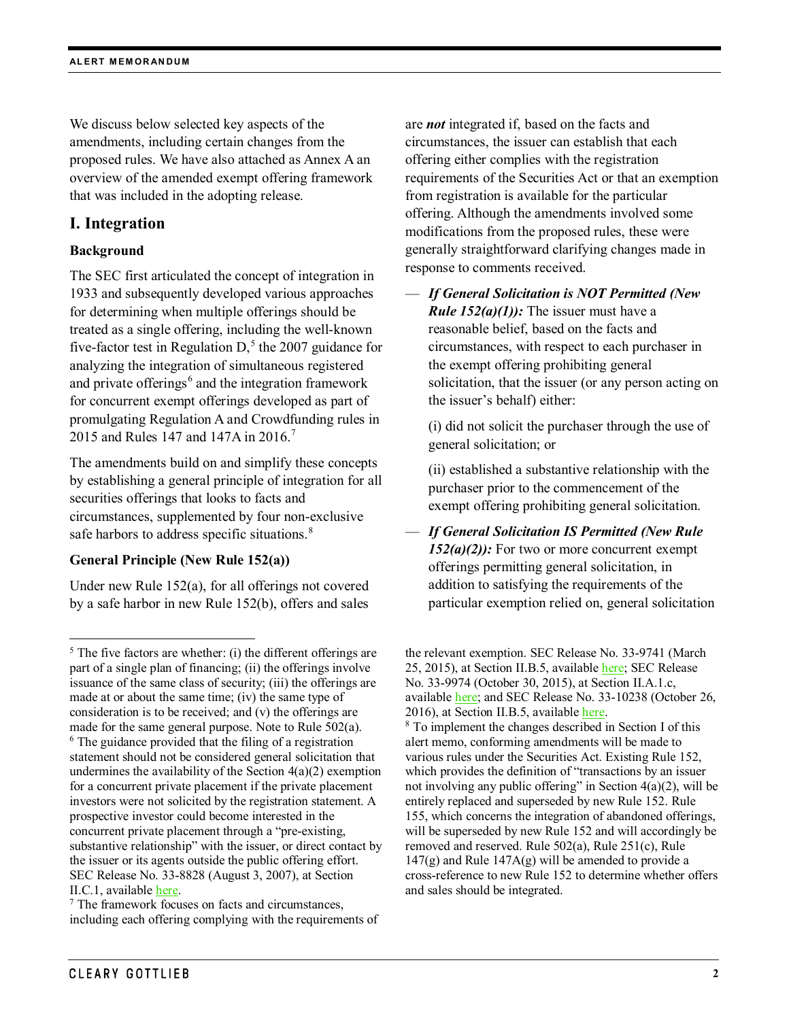We discuss below selected key aspects of the amendments, including certain changes from the proposed rules. We have also attached as Annex A an overview of the amended exempt offering framework that was included in the adopting release.

## **I. Integration**

## **Background**

The SEC first articulated the concept of integration in 1933 and subsequently developed various approaches for determining when multiple offerings should be treated as a single offering, including the well-known five-factor test in Regulation  $D<sub>1</sub>$ <sup>[5](#page-1-0)</sup> the 2007 guidance for analyzing the integration of simultaneous registered and private offerings $<sup>6</sup>$  $<sup>6</sup>$  $<sup>6</sup>$  and the integration framework</sup> for concurrent exempt offerings developed as part of promulgating Regulation A and Crowdfunding rules in 2015 and Rules 14[7](#page-1-2) and 147A in 2016.<sup>7</sup>

The amendments build on and simplify these concepts by establishing a general principle of integration for all securities offerings that looks to facts and circumstances, supplemented by four non-exclusive safe harbors to address specific situations.<sup>[8](#page-1-3)</sup>

## **General Principle (New Rule 152(a))**

Under new Rule 152(a), for all offerings not covered by a safe harbor in new Rule 152(b), offers and sales

<span id="page-1-2"></span><sup>7</sup> The framework focuses on facts and circumstances, including each offering complying with the requirements of are *not* integrated if, based on the facts and circumstances, the issuer can establish that each offering either complies with the registration requirements of the Securities Act or that an exemption from registration is available for the particular offering. Although the amendments involved some modifications from the proposed rules, these were generally straightforward clarifying changes made in response to comments received.

— *If General Solicitation is NOT Permitted (New Rule 152(a)(1)):* The issuer must have a reasonable belief, based on the facts and circumstances, with respect to each purchaser in the exempt offering prohibiting general solicitation, that the issuer (or any person acting on the issuer's behalf) either:

(i) did not solicit the purchaser through the use of general solicitation; or

(ii) established a substantive relationship with the purchaser prior to the commencement of the exempt offering prohibiting general solicitation.

— *If General Solicitation IS Permitted (New Rule 152(a)(2)):* For two or more concurrent exempt offerings permitting general solicitation, in addition to satisfying the requirements of the particular exemption relied on, general solicitation

<span id="page-1-3"></span><span id="page-1-1"></span><span id="page-1-0"></span> $<sup>5</sup>$  The five factors are whether: (i) the different offerings are</sup> part of a single plan of financing; (ii) the offerings involve issuance of the same class of security; (iii) the offerings are made at or about the same time; (iv) the same type of consideration is to be received; and (v) the offerings are made for the same general purpose. Note to Rule 502(a). <sup>6</sup> The guidance provided that the filing of a registration statement should not be considered general solicitation that undermines the availability of the Section  $4(a)(2)$  exemption for a concurrent private placement if the private placement investors were not solicited by the registration statement. A prospective investor could become interested in the concurrent private placement through a "pre-existing, substantive relationship" with the issuer, or direct contact by the issuer or its agents outside the public offering effort. SEC Release No. 33-8828 (August 3, 2007), at Section II.C.1, available [here.](https://www.sec.gov/rules/proposed/2007/33-8828.pdf)

the relevant exemption. SEC Release No. 33-9741 (March 25, 2015), at Section II.B.5, available [here;](https://www.sec.gov/rules/final/2015/33-9741.pdf) SEC Release No. 33-9974 (October 30, 2015), at Section II.A.1.c, available [here;](https://www.sec.gov/rules/final/2015/33-9974.pdf) and SEC Release No. 33-10238 (October 26, 2016), at Section II.B.5, available [here.](https://www.sec.gov/rules/final/2016/33-10238.pdf)

<sup>8</sup> To implement the changes described in Section I of this alert memo, conforming amendments will be made to various rules under the Securities Act. Existing Rule 152, which provides the definition of "transactions by an issuer not involving any public offering" in Section 4(a)(2), will be entirely replaced and superseded by new Rule 152. Rule 155, which concerns the integration of abandoned offerings, will be superseded by new Rule 152 and will accordingly be removed and reserved. Rule 502(a), Rule 251(c), Rule  $147(g)$  and Rule  $147A(g)$  will be amended to provide a cross-reference to new Rule 152 to determine whether offers and sales should be integrated.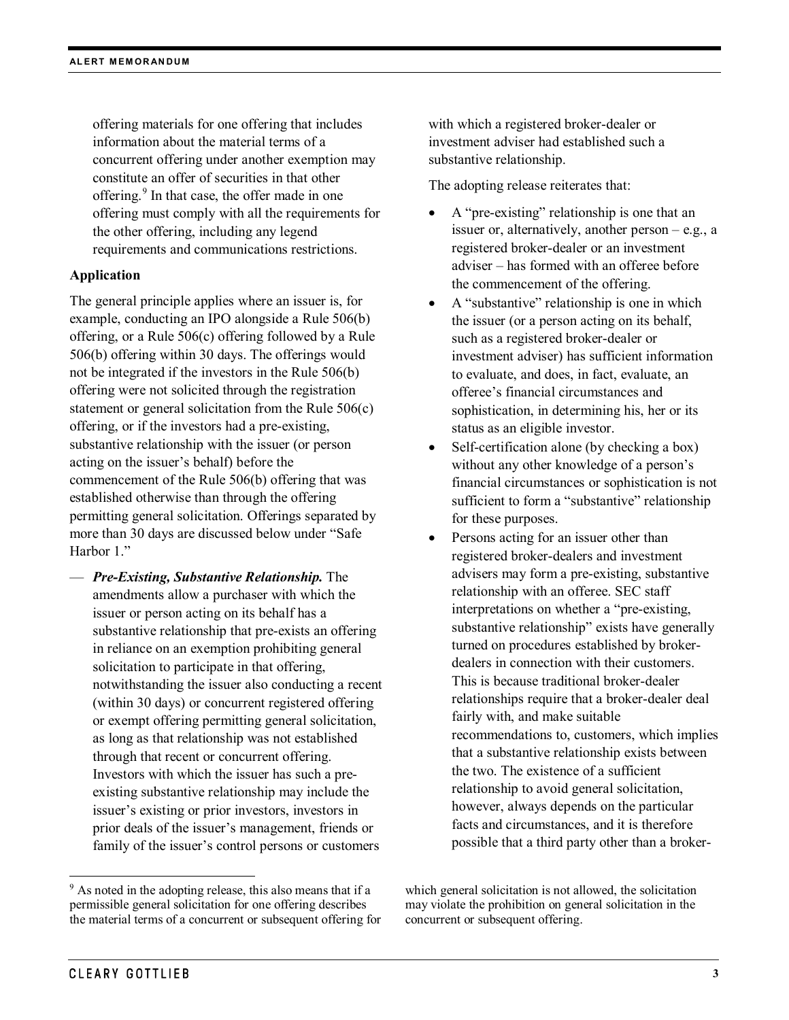offering materials for one offering that includes information about the material terms of a concurrent offering under another exemption may constitute an offer of securities in that other offering.[9](#page-2-0) In that case, the offer made in one offering must comply with all the requirements for the other offering, including any legend requirements and communications restrictions.

## **Application**

The general principle applies where an issuer is, for example, conducting an IPO alongside a Rule 506(b) offering, or a Rule 506(c) offering followed by a Rule 506(b) offering within 30 days. The offerings would not be integrated if the investors in the Rule 506(b) offering were not solicited through the registration statement or general solicitation from the Rule 506(c) offering, or if the investors had a pre-existing, substantive relationship with the issuer (or person acting on the issuer's behalf) before the commencement of the Rule 506(b) offering that was established otherwise than through the offering permitting general solicitation. Offerings separated by more than 30 days are discussed below under "Safe Harbor 1."

— *Pre-Existing, Substantive Relationship.* The amendments allow a purchaser with which the issuer or person acting on its behalf has a substantive relationship that pre-exists an offering in reliance on an exemption prohibiting general solicitation to participate in that offering, notwithstanding the issuer also conducting a recent (within 30 days) or concurrent registered offering or exempt offering permitting general solicitation, as long as that relationship was not established through that recent or concurrent offering. Investors with which the issuer has such a preexisting substantive relationship may include the issuer's existing or prior investors, investors in prior deals of the issuer's management, friends or family of the issuer's control persons or customers

with which a registered broker-dealer or investment adviser had established such a substantive relationship.

The adopting release reiterates that:

- A "pre-existing" relationship is one that an issuer or, alternatively, another person – e.g., a registered broker-dealer or an investment adviser – has formed with an offeree before the commencement of the offering.
- A "substantive" relationship is one in which the issuer (or a person acting on its behalf, such as a registered broker-dealer or investment adviser) has sufficient information to evaluate, and does, in fact, evaluate, an offeree's financial circumstances and sophistication, in determining his, her or its status as an eligible investor.
- Self-certification alone (by checking a box) without any other knowledge of a person's financial circumstances or sophistication is not sufficient to form a "substantive" relationship for these purposes.
- Persons acting for an issuer other than registered broker-dealers and investment advisers may form a pre-existing, substantive relationship with an offeree. SEC staff interpretations on whether a "pre-existing, substantive relationship" exists have generally turned on procedures established by brokerdealers in connection with their customers. This is because traditional broker-dealer relationships require that a broker-dealer deal fairly with, and make suitable recommendations to, customers, which implies that a substantive relationship exists between the two. The existence of a sufficient relationship to avoid general solicitation, however, always depends on the particular facts and circumstances, and it is therefore possible that a third party other than a broker-

<span id="page-2-0"></span><sup>&</sup>lt;sup>9</sup> As noted in the adopting release, this also means that if a permissible general solicitation for one offering describes the material terms of a concurrent or subsequent offering for

which general solicitation is not allowed, the solicitation may violate the prohibition on general solicitation in the concurrent or subsequent offering.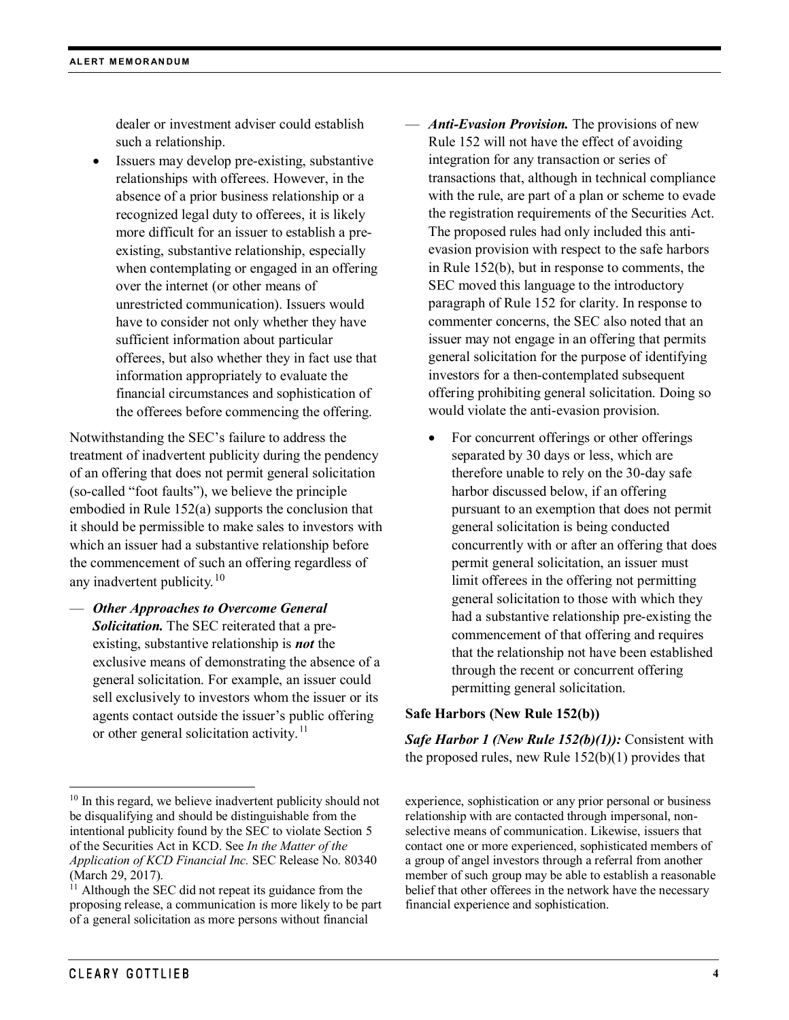dealer or investment adviser could establish such a relationship.

Issuers may develop pre-existing, substantive relationships with offerees. However, in the absence of a prior business relationship or a recognized legal duty to offerees, it is likely more difficult for an issuer to establish a preexisting, substantive relationship, especially when contemplating or engaged in an offering over the internet (or other means of unrestricted communication). Issuers would have to consider not only whether they have sufficient information about particular offerees, but also whether they in fact use that information appropriately to evaluate the financial circumstances and sophistication of the offerees before commencing the offering.

Notwithstanding the SEC's failure to address the treatment of inadvertent publicity during the pendency of an offering that does not permit general solicitation (so-called "foot faults"), we believe the principle embodied in Rule 152(a) supports the conclusion that it should be permissible to make sales to investors with which an issuer had a substantive relationship before the commencement of such an offering regardless of any inadvertent publicity.<sup>[10](#page-3-0)</sup>

— *Other Approaches to Overcome General Solicitation.* The SEC reiterated that a preexisting, substantive relationship is *not* the exclusive means of demonstrating the absence of a general solicitation. For example, an issuer could sell exclusively to investors whom the issuer or its agents contact outside the issuer's public offering or other general solicitation activity.<sup>[11](#page-3-1)</sup>

- *Anti-Evasion Provision.* The provisions of new Rule 152 will not have the effect of avoiding integration for any transaction or series of transactions that, although in technical compliance with the rule, are part of a plan or scheme to evade the registration requirements of the Securities Act. The proposed rules had only included this antievasion provision with respect to the safe harbors in Rule 152(b), but in response to comments, the SEC moved this language to the introductory paragraph of Rule 152 for clarity. In response to commenter concerns, the SEC also noted that an issuer may not engage in an offering that permits general solicitation for the purpose of identifying investors for a then-contemplated subsequent offering prohibiting general solicitation. Doing so would violate the anti-evasion provision.
	- For concurrent offerings or other offerings separated by 30 days or less, which are therefore unable to rely on the 30-day safe harbor discussed below, if an offering pursuant to an exemption that does not permit general solicitation is being conducted concurrently with or after an offering that does permit general solicitation, an issuer must limit offerees in the offering not permitting general solicitation to those with which they had a substantive relationship pre-existing the commencement of that offering and requires that the relationship not have been established through the recent or concurrent offering permitting general solicitation.

## **Safe Harbors (New Rule 152(b))**

*Safe Harbor 1 (New Rule 152(b)(1)):* Consistent with the proposed rules, new Rule  $152(b)(1)$  provides that

<span id="page-3-0"></span><sup>&</sup>lt;sup>10</sup> In this regard, we believe inadvertent publicity should not be disqualifying and should be distinguishable from the intentional publicity found by the SEC to violate Section 5 of the Securities Act in KCD. See *In the Matter of the Application of KCD Financial Inc.* SEC Release No. 80340 (March 29, 2017).

<span id="page-3-1"></span> $11$  Although the SEC did not repeat its guidance from the proposing release, a communication is more likely to be part of a general solicitation as more persons without financial

experience, sophistication or any prior personal or business relationship with are contacted through impersonal, nonselective means of communication. Likewise, issuers that contact one or more experienced, sophisticated members of a group of angel investors through a referral from another member of such group may be able to establish a reasonable belief that other offerees in the network have the necessary financial experience and sophistication.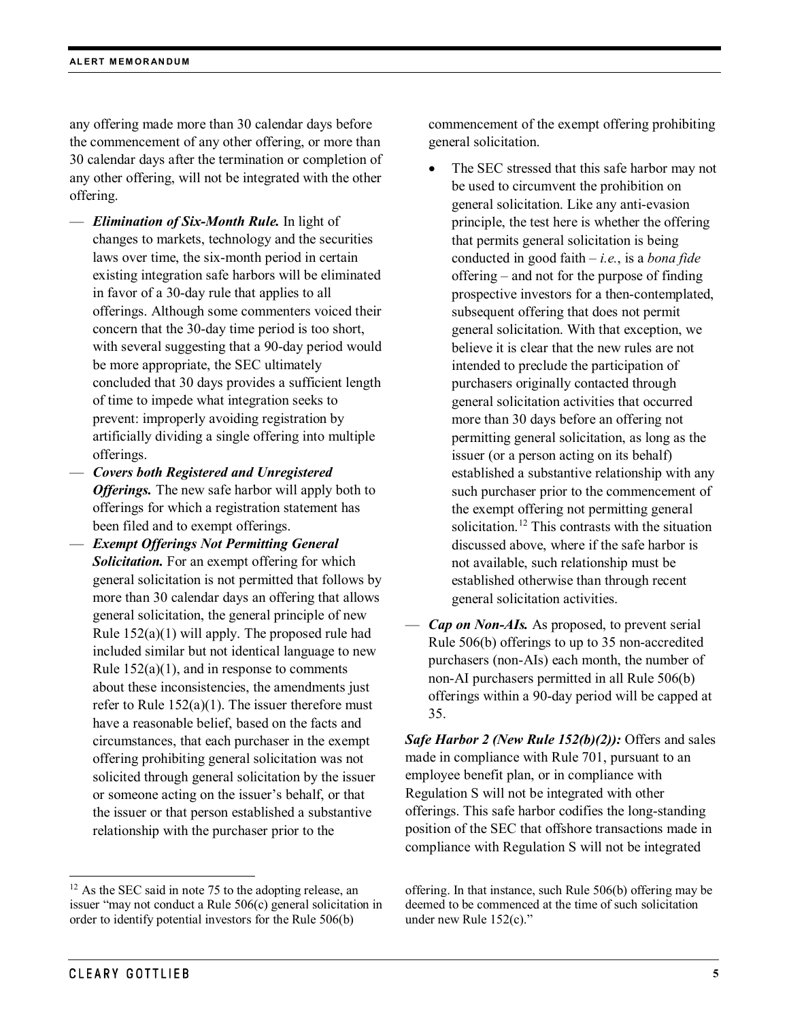any offering made more than 30 calendar days before the commencement of any other offering, or more than 30 calendar days after the termination or completion of any other offering, will not be integrated with the other offering.

- *Elimination of Six-Month Rule.* In light of changes to markets, technology and the securities laws over time, the six-month period in certain existing integration safe harbors will be eliminated in favor of a 30-day rule that applies to all offerings. Although some commenters voiced their concern that the 30-day time period is too short, with several suggesting that a 90-day period would be more appropriate, the SEC ultimately concluded that 30 days provides a sufficient length of time to impede what integration seeks to prevent: improperly avoiding registration by artificially dividing a single offering into multiple offerings.
- *Covers both Registered and Unregistered Offerings.* The new safe harbor will apply both to offerings for which a registration statement has been filed and to exempt offerings.
- *Exempt Offerings Not Permitting General Solicitation.* For an exempt offering for which general solicitation is not permitted that follows by more than 30 calendar days an offering that allows general solicitation, the general principle of new Rule 152(a)(1) will apply. The proposed rule had included similar but not identical language to new Rule  $152(a)(1)$ , and in response to comments about these inconsistencies, the amendments just refer to Rule  $152(a)(1)$ . The issuer therefore must have a reasonable belief, based on the facts and circumstances, that each purchaser in the exempt offering prohibiting general solicitation was not solicited through general solicitation by the issuer or someone acting on the issuer's behalf, or that the issuer or that person established a substantive relationship with the purchaser prior to the

commencement of the exempt offering prohibiting general solicitation.

- The SEC stressed that this safe harbor may not be used to circumvent the prohibition on general solicitation. Like any anti-evasion principle, the test here is whether the offering that permits general solicitation is being conducted in good faith – *i.e.*, is a *bona fide* offering – and not for the purpose of finding prospective investors for a then-contemplated, subsequent offering that does not permit general solicitation. With that exception, we believe it is clear that the new rules are not intended to preclude the participation of purchasers originally contacted through general solicitation activities that occurred more than 30 days before an offering not permitting general solicitation, as long as the issuer (or a person acting on its behalf) established a substantive relationship with any such purchaser prior to the commencement of the exempt offering not permitting general solicitation.<sup>[12](#page-4-0)</sup> This contrasts with the situation discussed above, where if the safe harbor is not available, such relationship must be established otherwise than through recent general solicitation activities.
- *Cap on Non-AIs.* As proposed, to prevent serial Rule 506(b) offerings to up to 35 non-accredited purchasers (non-AIs) each month, the number of non-AI purchasers permitted in all Rule 506(b) offerings within a 90-day period will be capped at 35.

*Safe Harbor 2 (New Rule 152(b)(2)):* Offers and sales made in compliance with Rule 701, pursuant to an employee benefit plan, or in compliance with Regulation S will not be integrated with other offerings. This safe harbor codifies the long-standing position of the SEC that offshore transactions made in compliance with Regulation S will not be integrated

<span id="page-4-0"></span> $12$  As the SEC said in note 75 to the adopting release, an issuer "may not conduct a Rule 506(c) general solicitation in order to identify potential investors for the Rule 506(b)

offering. In that instance, such Rule 506(b) offering may be deemed to be commenced at the time of such solicitation under new Rule 152(c)."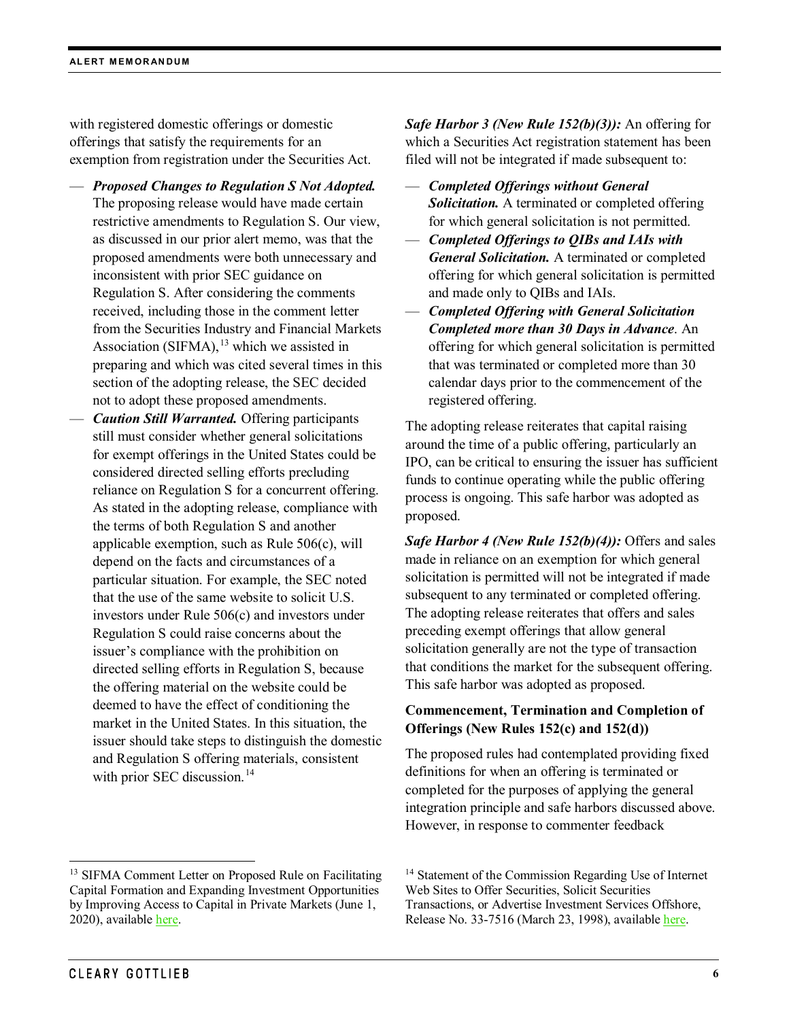with registered domestic offerings or domestic offerings that satisfy the requirements for an exemption from registration under the Securities Act.

- *Proposed Changes to Regulation S Not Adopted.*  The proposing release would have made certain restrictive amendments to Regulation S. Our view, as discussed in our prior alert memo, was that the proposed amendments were both unnecessary and inconsistent with prior SEC guidance on Regulation S. After considering the comments received, including those in the comment letter from the Securities Industry and Financial Markets Association (SIFMA),  $^{13}$  $^{13}$  $^{13}$  which we assisted in preparing and which was cited several times in this section of the adopting release, the SEC decided not to adopt these proposed amendments.
- *Caution Still Warranted.* Offering participants still must consider whether general solicitations for exempt offerings in the United States could be considered directed selling efforts precluding reliance on Regulation S for a concurrent offering. As stated in the adopting release, compliance with the terms of both Regulation S and another applicable exemption, such as Rule 506(c), will depend on the facts and circumstances of a particular situation. For example, the SEC noted that the use of the same website to solicit U.S. investors under Rule 506(c) and investors under Regulation S could raise concerns about the issuer's compliance with the prohibition on directed selling efforts in Regulation S, because the offering material on the website could be deemed to have the effect of conditioning the market in the United States. In this situation, the issuer should take steps to distinguish the domestic and Regulation S offering materials, consistent with prior SEC discussion.<sup>[14](#page-5-0)</sup>

<span id="page-5-0"></span><sup>13</sup> SIFMA Comment Letter on Proposed Rule on Facilitating Capital Formation and Expanding Investment Opportunities by Improving Access to Capital in Private Markets (June 1, 2020), available [here.](https://www.sec.gov/comments/s7-05-20/s70520-7258470-217639.pdf)

*Safe Harbor 3 (New Rule 152(b)(3)):* An offering for which a Securities Act registration statement has been filed will not be integrated if made subsequent to:

- *Completed Offerings without General Solicitation.* A terminated or completed offering for which general solicitation is not permitted.
- *Completed Offerings to QIBs and IAIs with General Solicitation.* A terminated or completed offering for which general solicitation is permitted and made only to QIBs and IAIs.
- *Completed Offering with General Solicitation Completed more than 30 Days in Advance*. An offering for which general solicitation is permitted that was terminated or completed more than 30 calendar days prior to the commencement of the registered offering.

The adopting release reiterates that capital raising around the time of a public offering, particularly an IPO, can be critical to ensuring the issuer has sufficient funds to continue operating while the public offering process is ongoing. This safe harbor was adopted as proposed.

*Safe Harbor 4 (New Rule 152(b)(4)):* Offers and sales made in reliance on an exemption for which general solicitation is permitted will not be integrated if made subsequent to any terminated or completed offering. The adopting release reiterates that offers and sales preceding exempt offerings that allow general solicitation generally are not the type of transaction that conditions the market for the subsequent offering. This safe harbor was adopted as proposed.

## **Commencement, Termination and Completion of Offerings (New Rules 152(c) and 152(d))**

The proposed rules had contemplated providing fixed definitions for when an offering is terminated or completed for the purposes of applying the general integration principle and safe harbors discussed above. However, in response to commenter feedback

<sup>&</sup>lt;sup>14</sup> Statement of the Commission Regarding Use of Internet Web Sites to Offer Securities, Solicit Securities Transactions, or Advertise Investment Services Offshore, Release No. 33-7516 (March 23, 1998), available [here.](https://www.sec.gov/rules/interp/33-7516.htm)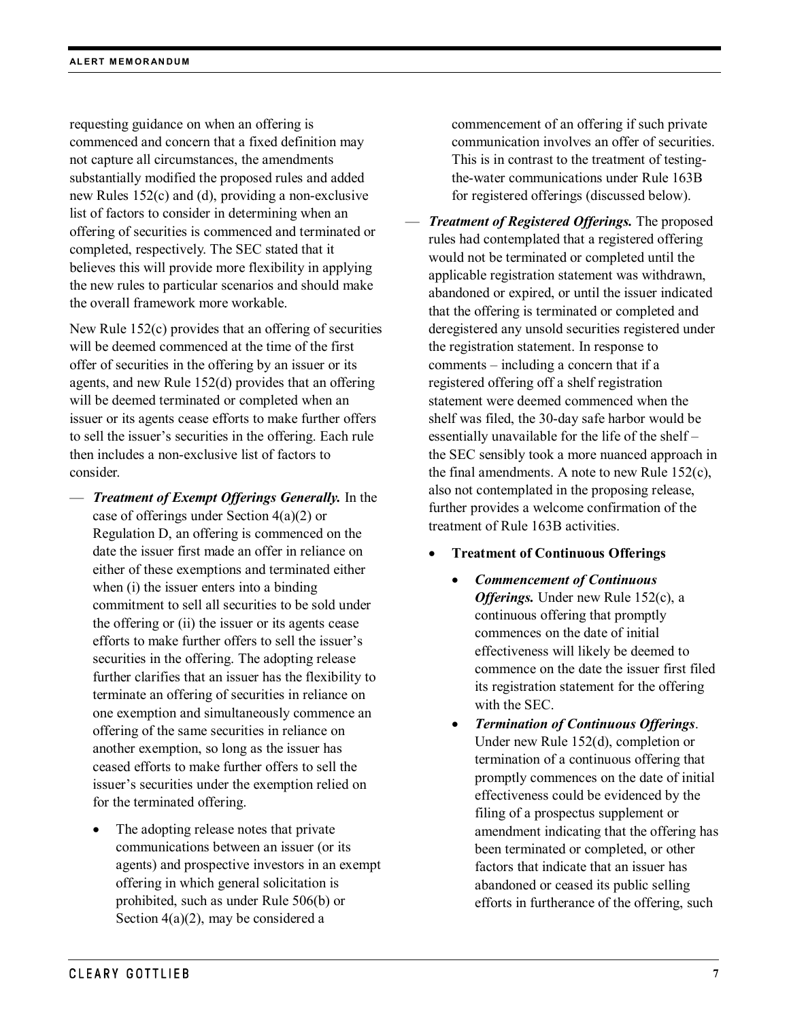requesting guidance on when an offering is commenced and concern that a fixed definition may not capture all circumstances, the amendments substantially modified the proposed rules and added new Rules 152(c) and (d), providing a non-exclusive list of factors to consider in determining when an offering of securities is commenced and terminated or completed, respectively. The SEC stated that it believes this will provide more flexibility in applying the new rules to particular scenarios and should make the overall framework more workable.

New Rule 152(c) provides that an offering of securities will be deemed commenced at the time of the first offer of securities in the offering by an issuer or its agents, and new Rule 152(d) provides that an offering will be deemed terminated or completed when an issuer or its agents cease efforts to make further offers to sell the issuer's securities in the offering. Each rule then includes a non-exclusive list of factors to consider.

- *Treatment of Exempt Offerings Generally.* In the case of offerings under Section 4(a)(2) or Regulation D, an offering is commenced on the date the issuer first made an offer in reliance on either of these exemptions and terminated either when (i) the issuer enters into a binding commitment to sell all securities to be sold under the offering or (ii) the issuer or its agents cease efforts to make further offers to sell the issuer's securities in the offering. The adopting release further clarifies that an issuer has the flexibility to terminate an offering of securities in reliance on one exemption and simultaneously commence an offering of the same securities in reliance on another exemption, so long as the issuer has ceased efforts to make further offers to sell the issuer's securities under the exemption relied on for the terminated offering.
	- The adopting release notes that private communications between an issuer (or its agents) and prospective investors in an exempt offering in which general solicitation is prohibited, such as under Rule 506(b) or Section 4(a)(2), may be considered a

commencement of an offering if such private communication involves an offer of securities. This is in contrast to the treatment of testingthe-water communications under Rule 163B for registered offerings (discussed below).

- *Treatment of Registered Offerings.* The proposed rules had contemplated that a registered offering would not be terminated or completed until the applicable registration statement was withdrawn, abandoned or expired, or until the issuer indicated that the offering is terminated or completed and deregistered any unsold securities registered under the registration statement. In response to comments – including a concern that if a registered offering off a shelf registration statement were deemed commenced when the shelf was filed, the 30-day safe harbor would be essentially unavailable for the life of the shelf – the SEC sensibly took a more nuanced approach in the final amendments. A note to new Rule 152(c), also not contemplated in the proposing release, further provides a welcome confirmation of the treatment of Rule 163B activities.
	- **Treatment of Continuous Offerings** 
		- *Commencement of Continuous Offerings.* Under new Rule 152(c), a continuous offering that promptly commences on the date of initial effectiveness will likely be deemed to commence on the date the issuer first filed its registration statement for the offering with the SEC.
		- *Termination of Continuous Offerings*. Under new Rule 152(d), completion or termination of a continuous offering that promptly commences on the date of initial effectiveness could be evidenced by the filing of a prospectus supplement or amendment indicating that the offering has been terminated or completed, or other factors that indicate that an issuer has abandoned or ceased its public selling efforts in furtherance of the offering, such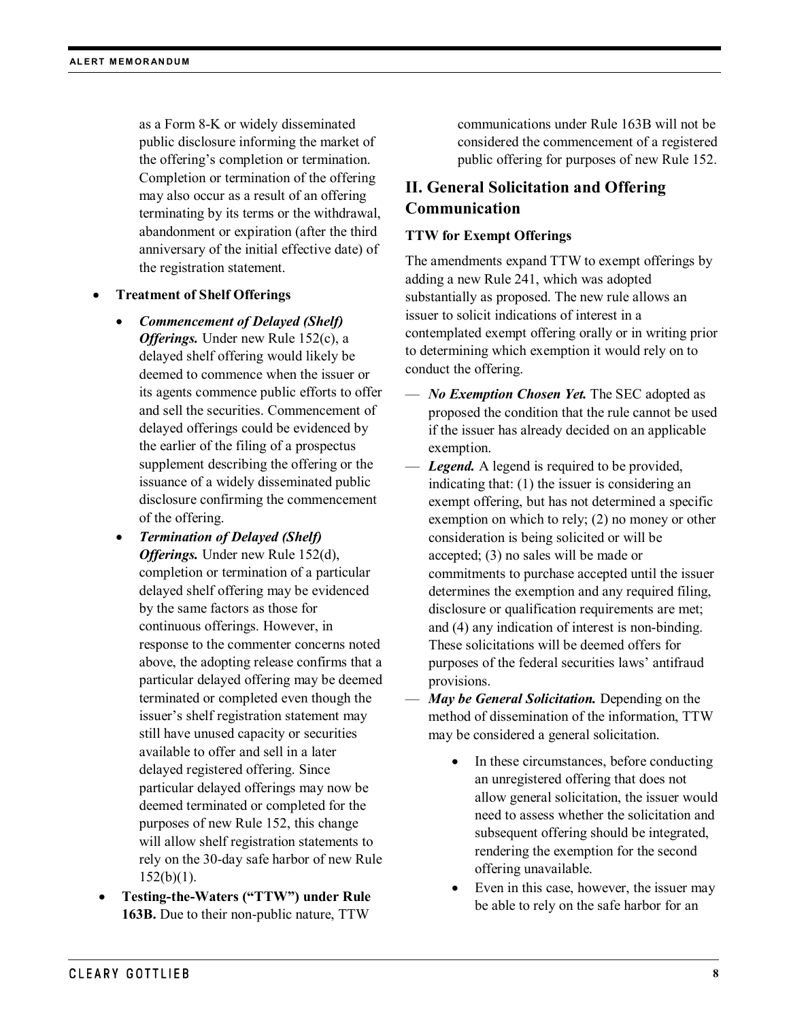as a Form 8-K or widely disseminated public disclosure informing the market of the offering's completion or termination. Completion or termination of the offering may also occur as a result of an offering terminating by its terms or the withdrawal, abandonment or expiration (after the third anniversary of the initial effective date) of the registration statement.

- **Treatment of Shelf Offerings**
	- *Commencement of Delayed (Shelf) Offerings.* Under new Rule 152(c), a delayed shelf offering would likely be deemed to commence when the issuer or its agents commence public efforts to offer and sell the securities. Commencement of delayed offerings could be evidenced by the earlier of the filing of a prospectus supplement describing the offering or the issuance of a widely disseminated public disclosure confirming the commencement of the offering.
	- *Termination of Delayed (Shelf) Offerings.* Under new Rule 152(d), completion or termination of a particular delayed shelf offering may be evidenced by the same factors as those for continuous offerings. However, in response to the commenter concerns noted above, the adopting release confirms that a particular delayed offering may be deemed terminated or completed even though the issuer's shelf registration statement may still have unused capacity or securities available to offer and sell in a later delayed registered offering. Since particular delayed offerings may now be deemed terminated or completed for the purposes of new Rule 152, this change will allow shelf registration statements to rely on the 30-day safe harbor of new Rule  $152(b)(1)$ .
- **Testing-the-Waters ("TTW") under Rule 163B.** Due to their non-public nature, TTW

communications under Rule 163B will not be considered the commencement of a registered public offering for purposes of new Rule 152.

# **II. General Solicitation and Offering Communication**

## **TTW for Exempt Offerings**

The amendments expand TTW to exempt offerings by adding a new Rule 241, which was adopted substantially as proposed. The new rule allows an issuer to solicit indications of interest in a contemplated exempt offering orally or in writing prior to determining which exemption it would rely on to conduct the offering.

- *No Exemption Chosen Yet.* The SEC adopted as proposed the condition that the rule cannot be used if the issuer has already decided on an applicable exemption.
- *Legend.* A legend is required to be provided, indicating that: (1) the issuer is considering an exempt offering, but has not determined a specific exemption on which to rely; (2) no money or other consideration is being solicited or will be accepted; (3) no sales will be made or commitments to purchase accepted until the issuer determines the exemption and any required filing, disclosure or qualification requirements are met; and (4) any indication of interest is non-binding. These solicitations will be deemed offers for purposes of the federal securities laws' antifraud provisions.
- *May be General Solicitation.* Depending on the method of dissemination of the information, TTW may be considered a general solicitation.
	- In these circumstances, before conducting an unregistered offering that does not allow general solicitation, the issuer would need to assess whether the solicitation and subsequent offering should be integrated, rendering the exemption for the second offering unavailable.
	- Even in this case, however, the issuer may be able to rely on the safe harbor for an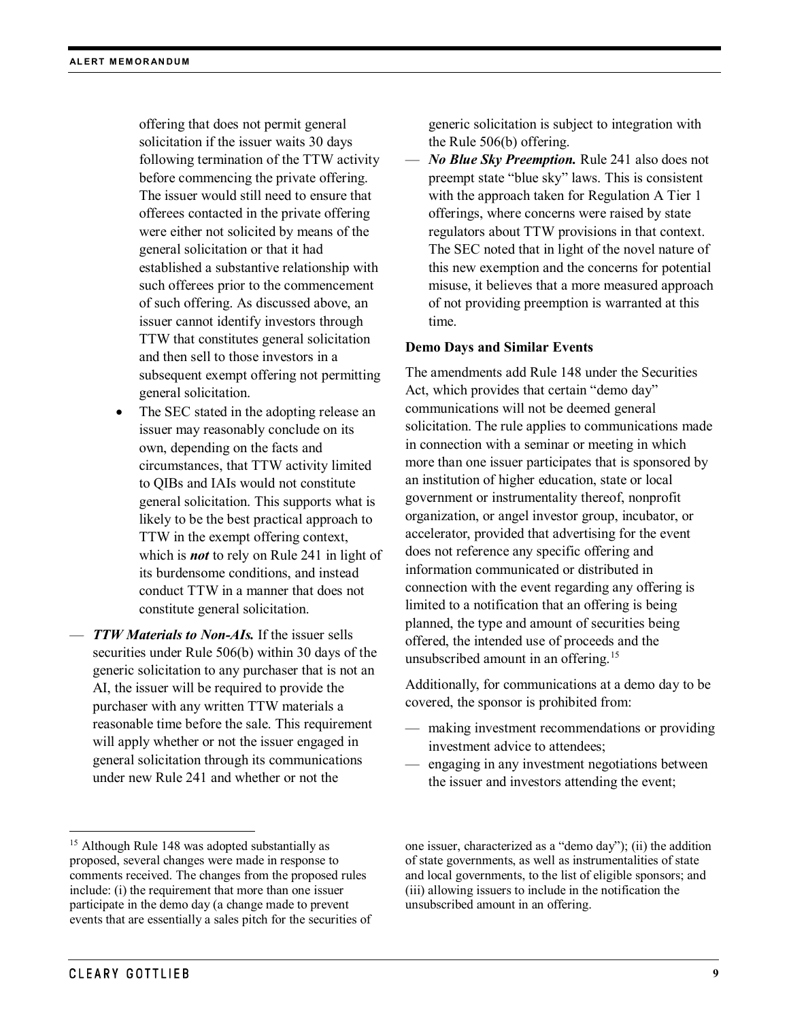offering that does not permit general solicitation if the issuer waits 30 days following termination of the TTW activity before commencing the private offering. The issuer would still need to ensure that offerees contacted in the private offering were either not solicited by means of the general solicitation or that it had established a substantive relationship with such offerees prior to the commencement of such offering. As discussed above, an issuer cannot identify investors through TTW that constitutes general solicitation and then sell to those investors in a subsequent exempt offering not permitting general solicitation.

- The SEC stated in the adopting release an issuer may reasonably conclude on its own, depending on the facts and circumstances, that TTW activity limited to QIBs and IAIs would not constitute general solicitation. This supports what is likely to be the best practical approach to TTW in the exempt offering context, which is *not* to rely on Rule 241 in light of its burdensome conditions, and instead conduct TTW in a manner that does not constitute general solicitation.
- *TTW Materials to Non-AIs.* If the issuer sells securities under Rule 506(b) within 30 days of the generic solicitation to any purchaser that is not an AI, the issuer will be required to provide the purchaser with any written TTW materials a reasonable time before the sale. This requirement will apply whether or not the issuer engaged in general solicitation through its communications under new Rule 241 and whether or not the

generic solicitation is subject to integration with the Rule 506(b) offering.

— *No Blue Sky Preemption.* Rule 241 also does not preempt state "blue sky" laws. This is consistent with the approach taken for Regulation A Tier 1 offerings, where concerns were raised by state regulators about TTW provisions in that context. The SEC noted that in light of the novel nature of this new exemption and the concerns for potential misuse, it believes that a more measured approach of not providing preemption is warranted at this time.

## **Demo Days and Similar Events**

The amendments add Rule 148 under the Securities Act, which provides that certain "demo day" communications will not be deemed general solicitation. The rule applies to communications made in connection with a seminar or meeting in which more than one issuer participates that is sponsored by an institution of higher education, state or local government or instrumentality thereof, nonprofit organization, or angel investor group, incubator, or accelerator, provided that advertising for the event does not reference any specific offering and information communicated or distributed in connection with the event regarding any offering is limited to a notification that an offering is being planned, the type and amount of securities being offered, the intended use of proceeds and the unsubscribed amount in an offering.<sup>[15](#page-8-0)</sup>

Additionally, for communications at a demo day to be covered, the sponsor is prohibited from:

- making investment recommendations or providing investment advice to attendees;
- engaging in any investment negotiations between the issuer and investors attending the event;

one issuer, characterized as a "demo day"); (ii) the addition of state governments, as well as instrumentalities of state and local governments, to the list of eligible sponsors; and (iii) allowing issuers to include in the notification the unsubscribed amount in an offering.

<span id="page-8-0"></span><sup>&</sup>lt;sup>15</sup> Although Rule 148 was adopted substantially as proposed, several changes were made in response to comments received. The changes from the proposed rules include: (i) the requirement that more than one issuer participate in the demo day (a change made to prevent events that are essentially a sales pitch for the securities of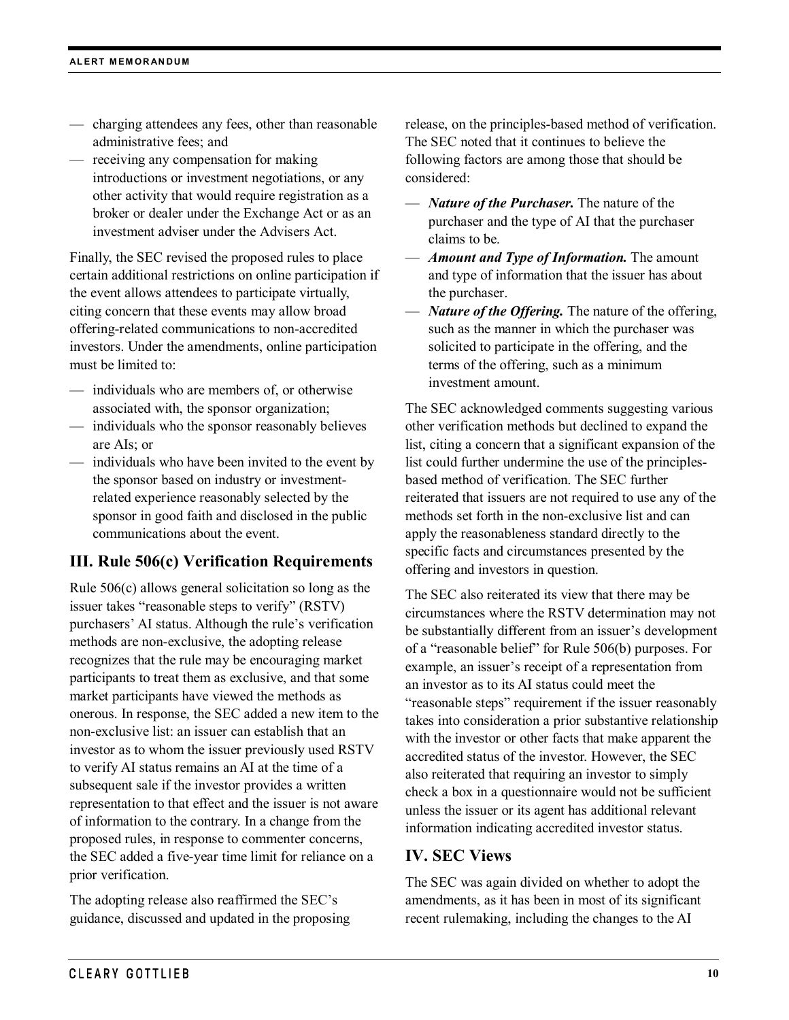- charging attendees any fees, other than reasonable administrative fees; and
- receiving any compensation for making introductions or investment negotiations, or any other activity that would require registration as a broker or dealer under the Exchange Act or as an investment adviser under the Advisers Act.

Finally, the SEC revised the proposed rules to place certain additional restrictions on online participation if the event allows attendees to participate virtually, citing concern that these events may allow broad offering-related communications to non-accredited investors. Under the amendments, online participation must be limited to:

- individuals who are members of, or otherwise associated with, the sponsor organization;
- individuals who the sponsor reasonably believes are AIs; or
- individuals who have been invited to the event by the sponsor based on industry or investmentrelated experience reasonably selected by the sponsor in good faith and disclosed in the public communications about the event.

# **III. Rule 506(c) Verification Requirements**

Rule 506(c) allows general solicitation so long as the issuer takes "reasonable steps to verify" (RSTV) purchasers' AI status. Although the rule's verification methods are non-exclusive, the adopting release recognizes that the rule may be encouraging market participants to treat them as exclusive, and that some market participants have viewed the methods as onerous. In response, the SEC added a new item to the non-exclusive list: an issuer can establish that an investor as to whom the issuer previously used RSTV to verify AI status remains an AI at the time of a subsequent sale if the investor provides a written representation to that effect and the issuer is not aware of information to the contrary. In a change from the proposed rules, in response to commenter concerns, the SEC added a five-year time limit for reliance on a prior verification.

The adopting release also reaffirmed the SEC's guidance, discussed and updated in the proposing release, on the principles-based method of verification. The SEC noted that it continues to believe the following factors are among those that should be considered:

- *Nature of the Purchaser.* The nature of the purchaser and the type of AI that the purchaser claims to be.
- *Amount and Type of Information.* The amount and type of information that the issuer has about the purchaser.
- *Nature of the Offering.* The nature of the offering, such as the manner in which the purchaser was solicited to participate in the offering, and the terms of the offering, such as a minimum investment amount.

The SEC acknowledged comments suggesting various other verification methods but declined to expand the list, citing a concern that a significant expansion of the list could further undermine the use of the principlesbased method of verification. The SEC further reiterated that issuers are not required to use any of the methods set forth in the non-exclusive list and can apply the reasonableness standard directly to the specific facts and circumstances presented by the offering and investors in question.

The SEC also reiterated its view that there may be circumstances where the RSTV determination may not be substantially different from an issuer's development of a "reasonable belief" for Rule 506(b) purposes. For example, an issuer's receipt of a representation from an investor as to its AI status could meet the "reasonable steps" requirement if the issuer reasonably takes into consideration a prior substantive relationship with the investor or other facts that make apparent the accredited status of the investor. However, the SEC also reiterated that requiring an investor to simply check a box in a questionnaire would not be sufficient unless the issuer or its agent has additional relevant information indicating accredited investor status.

## **IV. SEC Views**

The SEC was again divided on whether to adopt the amendments, as it has been in most of its significant recent rulemaking, including the changes to the AI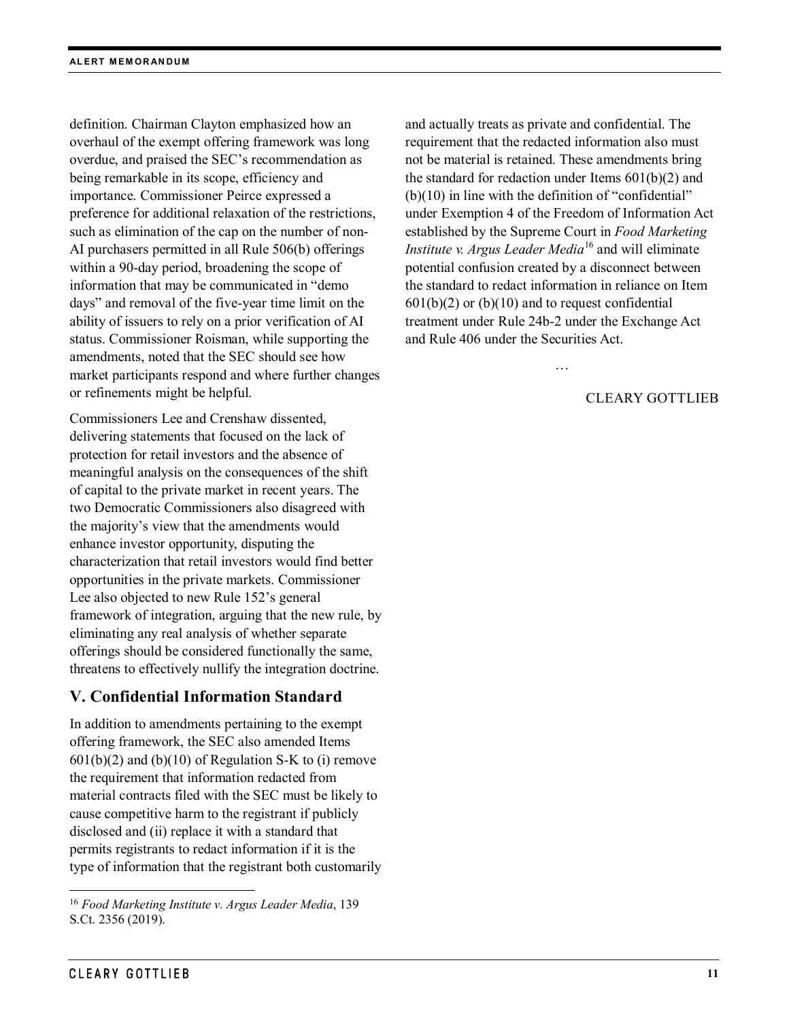definition. Chairman Clayton emphasized how an overhaul of the exempt offering framework was long overdue, and praised the SEC's recommendation as being remarkable in its scope, efficiency and importance. Commissioner Peirce expressed a preference for additional relaxation of the restrictions, such as elimination of the cap on the number of non-AI purchasers permitted in all Rule 506(b) offerings within a 90-day period, broadening the scope of information that may be communicated in "demo days" and removal of the five-year time limit on the ability of issuers to rely on a prior verification of AI status. Commissioner Roisman, while supporting the amendments, noted that the SEC should see how market participants respond and where further changes or refinements might be helpful.

Commissioners Lee and Crenshaw dissented, delivering statements that focused on the lack of protection for retail investors and the absence of meaningful analysis on the consequences of the shift of capital to the private market in recent years. The two Democratic Commissioners also disagreed with the majority's view that the amendments would enhance investor opportunity, disputing the characterization that retail investors would find better opportunities in the private markets. Commissioner Lee also objected to new Rule 152's general framework of integration, arguing that the new rule, by eliminating any real analysis of whether separate offerings should be considered functionally the same, threatens to effectively nullify the integration doctrine.

## **V. Confidential Information Standard**

In addition to amendments pertaining to the exempt offering framework, the SEC also amended Items  $601(b)(2)$  and  $(b)(10)$  of Regulation S-K to (i) remove the requirement that information redacted from material contracts filed with the SEC must be likely to cause competitive harm to the registrant if publicly disclosed and (ii) replace it with a standard that permits registrants to redact information if it is the type of information that the registrant both customarily and actually treats as private and confidential. The requirement that the redacted information also must not be material is retained. These amendments bring the standard for redaction under Items 601(b)(2) and (b)(10) in line with the definition of "confidential" under Exemption 4 of the Freedom of Information Act established by the Supreme Court in *Food Marketing Institute v. Argus Leader Media*[16](#page-10-0) and will eliminate potential confusion created by a disconnect between the standard to redact information in reliance on Item  $601(b)(2)$  or  $(b)(10)$  and to request confidential treatment under Rule 24b-2 under the Exchange Act and Rule 406 under the Securities Act.

…

## CLEARY GOTTLIEB

<span id="page-10-0"></span> <sup>16</sup> *Food Marketing Institute v. Argus Leader Media*, 139 S.Ct. 2356 (2019).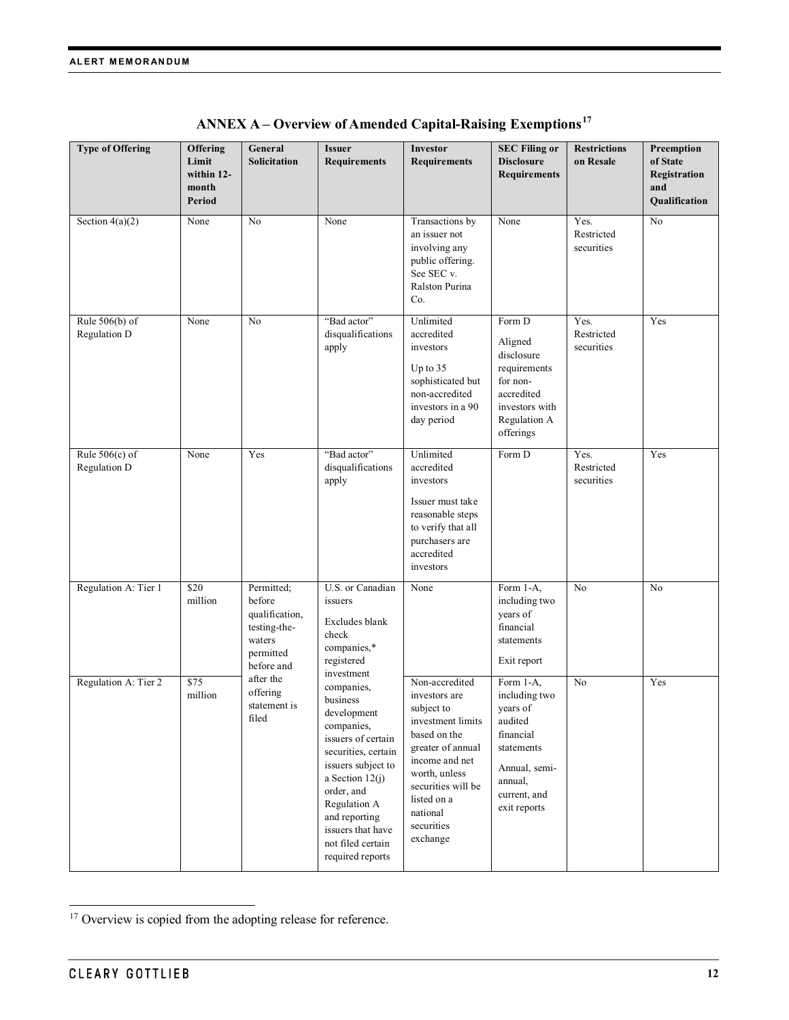| <b>Type of Offering</b>          | <b>Offering</b><br>Limit<br>within 12-<br>month<br>Period | General<br>Solicitation                                                                     | <b>Issuer</b><br><b>Requirements</b>                                                                                                                                                                                                                   | <b>Investor</b><br><b>Requirements</b>                                                                                                                                                                                | <b>SEC Filing or</b><br><b>Disclosure</b><br><b>Requirements</b>                                                                         | <b>Restrictions</b><br>on Resale | Preemption<br>of State<br>Registration<br>and<br>Qualification |
|----------------------------------|-----------------------------------------------------------|---------------------------------------------------------------------------------------------|--------------------------------------------------------------------------------------------------------------------------------------------------------------------------------------------------------------------------------------------------------|-----------------------------------------------------------------------------------------------------------------------------------------------------------------------------------------------------------------------|------------------------------------------------------------------------------------------------------------------------------------------|----------------------------------|----------------------------------------------------------------|
| Section $4(a)(2)$                | None                                                      | No                                                                                          | None                                                                                                                                                                                                                                                   | Transactions by<br>an issuer not<br>involving any<br>public offering.<br>See SEC v.<br>Ralston Purina<br>Co.                                                                                                          | None                                                                                                                                     | Yes.<br>Restricted<br>securities | No                                                             |
| Rule $506(b)$ of<br>Regulation D | None                                                      | No                                                                                          | "Bad actor"<br>disqualifications<br>apply                                                                                                                                                                                                              | Unlimited<br>accredited<br>investors<br>Up to $35$<br>sophisticated but<br>non-accredited<br>investors in a 90<br>day period                                                                                          | Form D<br>Aligned<br>disclosure<br>requirements<br>for non-<br>accredited<br>investors with<br>Regulation A<br>offerings                 | Yes.<br>Restricted<br>securities | Yes                                                            |
| Rule $506(c)$ of<br>Regulation D | None                                                      | Yes                                                                                         | "Bad actor"<br>disqualifications<br>apply                                                                                                                                                                                                              | Unlimited<br>accredited<br>investors<br>Issuer must take<br>reasonable steps<br>to verify that all<br>purchasers are<br>accredited<br>investors                                                                       | Form D                                                                                                                                   | Yes.<br>Restricted<br>securities | Yes                                                            |
| Regulation A: Tier 1             | \$20<br>million                                           | Permitted;<br>before<br>qualification,<br>testing-the-<br>waters<br>permitted<br>before and | U.S. or Canadian<br>issuers<br>Excludes blank<br>check<br>companies,*<br>registered<br>investment                                                                                                                                                      | None                                                                                                                                                                                                                  | Form 1-A,<br>including two<br>years of<br>financial<br>statements<br>Exit report                                                         | No                               | No                                                             |
| Regulation A: Tier 2             | \$75<br>million                                           | after the<br>offering<br>statement is<br>filed                                              | companies,<br>business<br>development<br>companies,<br>issuers of certain<br>securities, certain<br>issuers subject to<br>a Section 12(j)<br>order, and<br>Regulation A<br>and reporting<br>issuers that have<br>not filed certain<br>required reports | Non-accredited<br>investors are<br>subject to<br>investment limits<br>based on the<br>greater of annual<br>income and net<br>worth, unless<br>securities will be<br>listed on a<br>national<br>securities<br>exchange | Form 1-A,<br>including two<br>years of<br>audited<br>financial<br>statements<br>Annual, semi-<br>annual,<br>current, and<br>exit reports | No                               | Yes                                                            |

**ANNEX A – Overview of Amended Capital-Raising Exemptions[17](#page-11-0)**

<span id="page-11-0"></span><sup>&</sup>lt;sup>17</sup> Overview is copied from the adopting release for reference.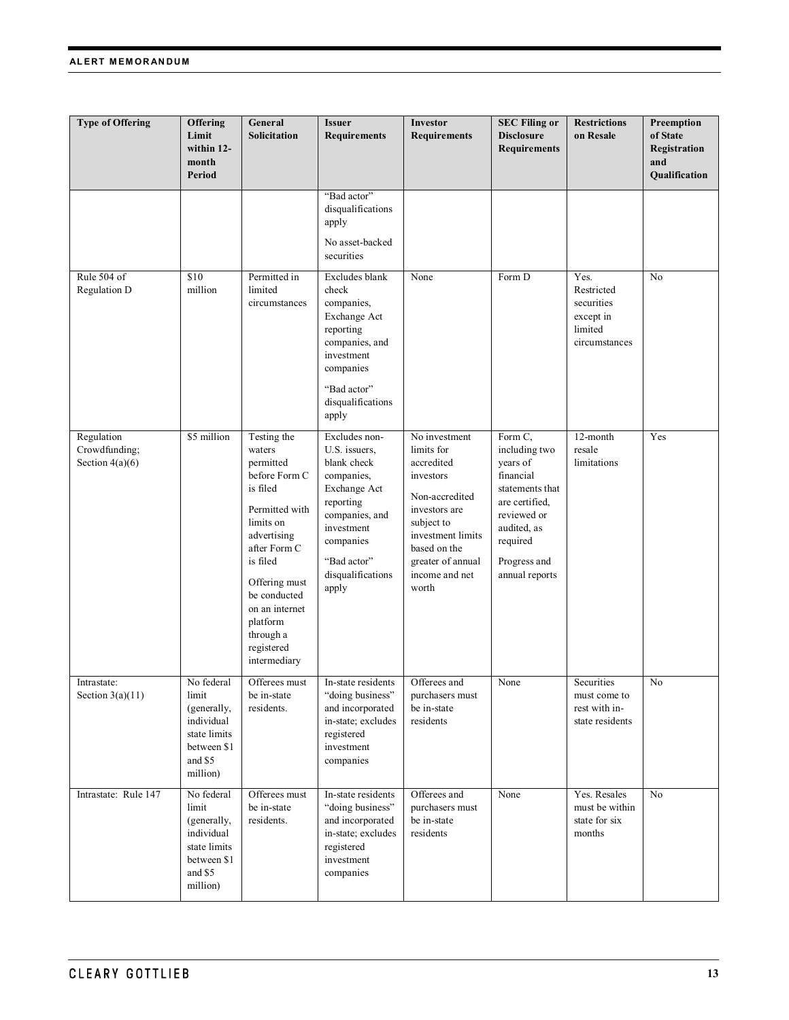#### **ALERT MEMORANDUM**

| <b>Type of Offering</b>                          | <b>Offering</b><br>Limit<br>within 12-<br>month<br>Period                                              | General<br>Solicitation                                                                                                                                                                                                                             | <b>Issuer</b><br><b>Requirements</b>                                                                                                                                               | Investor<br><b>Requirements</b>                                                                                                                                                              | <b>SEC Filing or</b><br><b>Disclosure</b><br><b>Requirements</b>                                                                                                   | <b>Restrictions</b><br>on Resale                                          | Preemption<br>of State<br>Registration<br>and<br>Qualification |
|--------------------------------------------------|--------------------------------------------------------------------------------------------------------|-----------------------------------------------------------------------------------------------------------------------------------------------------------------------------------------------------------------------------------------------------|------------------------------------------------------------------------------------------------------------------------------------------------------------------------------------|----------------------------------------------------------------------------------------------------------------------------------------------------------------------------------------------|--------------------------------------------------------------------------------------------------------------------------------------------------------------------|---------------------------------------------------------------------------|----------------------------------------------------------------|
|                                                  |                                                                                                        |                                                                                                                                                                                                                                                     | "Bad actor"<br>disqualifications<br>apply<br>No asset-backed<br>securities                                                                                                         |                                                                                                                                                                                              |                                                                                                                                                                    |                                                                           |                                                                |
| Rule 504 of<br>Regulation D                      | \$10<br>million                                                                                        | Permitted in<br>limited<br>circumstances                                                                                                                                                                                                            | Excludes blank<br>check<br>companies,<br>Exchange Act<br>reporting<br>companies, and<br>investment<br>companies<br>"Bad actor"<br>disqualifications<br>apply                       | None                                                                                                                                                                                         | Form D                                                                                                                                                             | Yes.<br>Restricted<br>securities<br>except in<br>limited<br>circumstances | No                                                             |
| Regulation<br>Crowdfunding;<br>Section $4(a)(6)$ | \$5 million                                                                                            | Testing the<br>waters<br>permitted<br>before Form C<br>is filed<br>Permitted with<br>limits on<br>advertising<br>after Form C<br>is filed<br>Offering must<br>be conducted<br>on an internet<br>platform<br>through a<br>registered<br>intermediary | Excludes non-<br>U.S. issuers,<br>blank check<br>companies,<br>Exchange Act<br>reporting<br>companies, and<br>investment<br>companies<br>"Bad actor"<br>disqualifications<br>apply | No investment<br>limits for<br>accredited<br>investors<br>Non-accredited<br>investors are<br>subject to<br>investment limits<br>based on the<br>greater of annual<br>income and net<br>worth | Form C,<br>including two<br>years of<br>financial<br>statements that<br>are certified,<br>reviewed or<br>audited, as<br>required<br>Progress and<br>annual reports | 12-month<br>resale<br>limitations                                         | Yes                                                            |
| Intrastate:<br>Section $3(a)(11)$                | No federal<br>limit<br>(generally,<br>individual<br>state limits<br>between \$1<br>and \$5<br>million) | Offerees must<br>be in-state<br>residents.                                                                                                                                                                                                          | In-state residents<br>"doing business"<br>and incorporated<br>in-state; excludes<br>registered<br>investment<br>companies                                                          | Offerees and<br>purchasers must<br>be in-state<br>residents                                                                                                                                  | None                                                                                                                                                               | Securities<br>must come to<br>rest with in-<br>state residents            | No                                                             |
| Intrastate: Rule 147                             | No federal<br>limit<br>(generally,<br>individual<br>state limits<br>between \$1<br>and \$5<br>million) | Offerees must<br>be in-state<br>residents.                                                                                                                                                                                                          | In-state residents<br>"doing business"<br>and incorporated<br>in-state; excludes<br>registered<br>investment<br>companies                                                          | Offerees and<br>purchasers must<br>be in-state<br>residents                                                                                                                                  | None                                                                                                                                                               | Yes. Resales<br>must be within<br>state for six<br>months                 | N <sub>o</sub>                                                 |